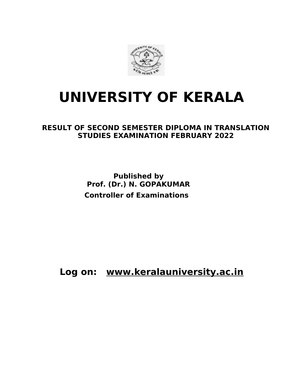

# **UNIVERSITY OF KERALA**

#### **RESULT OF SECOND SEMESTER DIPLOMA IN TRANSLATION STUDIES EXAMINATION FEBRUARY 2022**

 **Published by Prof. (Dr.) N. GOPAKUMAR Controller of Examinations**

**Log on: www.keralauniversity.ac.in**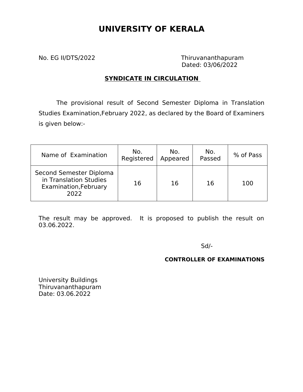### **UNIVERSITY OF KERALA**

No. EG II/DTS/2022 Thiruvananthapuram Dated: 03/06/2022

#### **SYNDICATE IN CIRCULATION**

The provisional result of Second Semester Diploma in Translation Studies Examination,February 2022, as declared by the Board of Examiners is given below:-

| Name of Examination                                                                | No.<br>Registered | No.<br>Appeared | No.<br>Passed | % of Pass |
|------------------------------------------------------------------------------------|-------------------|-----------------|---------------|-----------|
| Second Semester Diploma<br>in Translation Studies<br>Examination, February<br>2022 | 16                | 16              | 16            | 100       |

The result may be approved. It is proposed to publish the result on 03.06.2022.

 $S$ d/- $S$ d/- $S$ 

#### **CONTROLLER OF EXAMINATIONS**

University Buildings Thiruvananthapuram Date: 03.06.2022